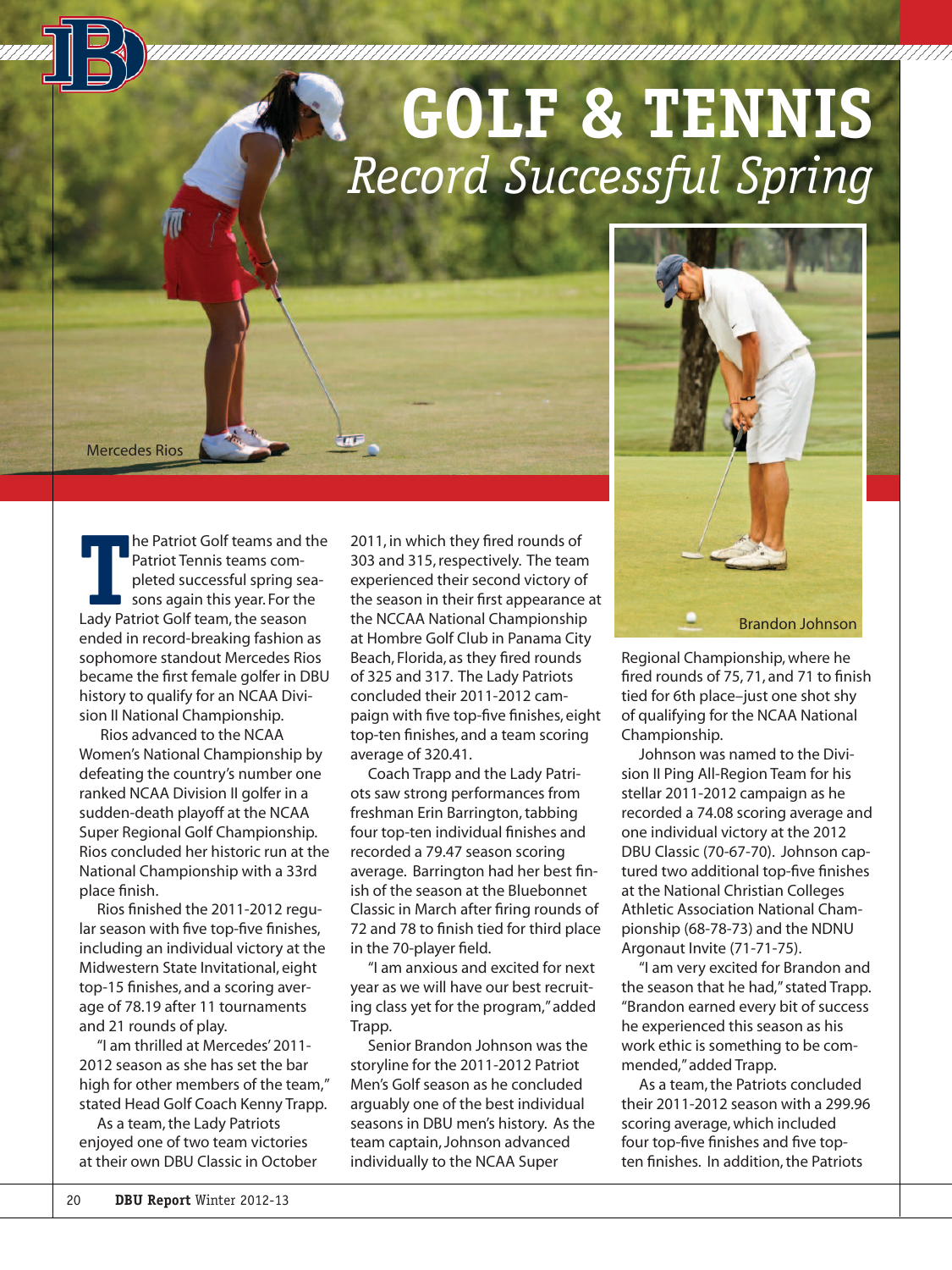# **GOLF & TENNIS** *Record Successful Spring*

Mercedes Rios

**THE PATRIOT Golf teams and the Patriot Tennis teams completed successful spring season again this year. For the Lady Patriot Golf team, the season** he Patriot Golf teams and the Patriot Tennis teams completed successful spring seasons again this year. For the ended in record-breaking fashion as sophomore standout Mercedes Rios became the first female golfer in DBU history to qualify for an NCAA Division II National Championship.

 Rios advanced to the NCAA Women's National Championship by defeating the country's number one ranked NCAA Division II golfer in a sudden-death playoff at the NCAA Super Regional Golf Championship. Rios concluded her historic run at the National Championship with a 33rd place finish.

Rios finished the 2011-2012 regular season with five top-five finishes, including an individual victory at the Midwestern State Invitational, eight top-15 finishes, and a scoring average of 78.19 after 11 tournaments and 21 rounds of play.

"I am thrilled at Mercedes' 2011- 2012 season as she has set the bar high for other members of the team," stated Head Golf Coach Kenny Trapp.

As a team, the Lady Patriots enjoyed one of two team victories at their own DBU Classic in October 2011, in which they fired rounds of 303 and 315, respectively. The team experienced their second victory of the season in their first appearance at the NCCAA National Championship at Hombre Golf Club in Panama City Beach, Florida, as they fired rounds of 325 and 317. The Lady Patriots concluded their 2011-2012 campaign with five top-five finishes, eight top-ten finishes, and a team scoring average of 320.41.

Coach Trapp and the Lady Patriots saw strong performances from freshman Erin Barrington, tabbing four top-ten individual finishes and recorded a 79.47 season scoring average. Barrington had her best finish of the season at the Bluebonnet Classic in March after firing rounds of 72 and 78 to finish tied for third place in the 70-player field.

"I am anxious and excited for next year as we will have our best recruiting class yet for the program," added Trapp.

Senior Brandon Johnson was the storyline for the 2011-2012 Patriot Men's Golf season as he concluded arguably one of the best individual seasons in DBU men's history. As the team captain, Johnson advanced individually to the NCAA Super



Regional Championship, where he fired rounds of 75, 71, and 71 to finish tied for 6th place–just one shot shy of qualifying for the NCAA National Championship.

Johnson was named to the Division II Ping All-Region Team for his stellar 2011-2012 campaign as he recorded a 74.08 scoring average and one individual victory at the 2012 DBU Classic (70-67-70). Johnson captured two additional top-five finishes at the National Christian Colleges Athletic Association National Championship (68-78-73) and the NDNU Argonaut Invite (71-71-75).

"I am very excited for Brandon and the season that he had," stated Trapp. "Brandon earned every bit of success he experienced this season as his work ethic is something to be commended," added Trapp.

As a team, the Patriots concluded their 2011-2012 season with a 299.96 scoring average, which included four top-five finishes and five topten finishes. In addition, the Patriots